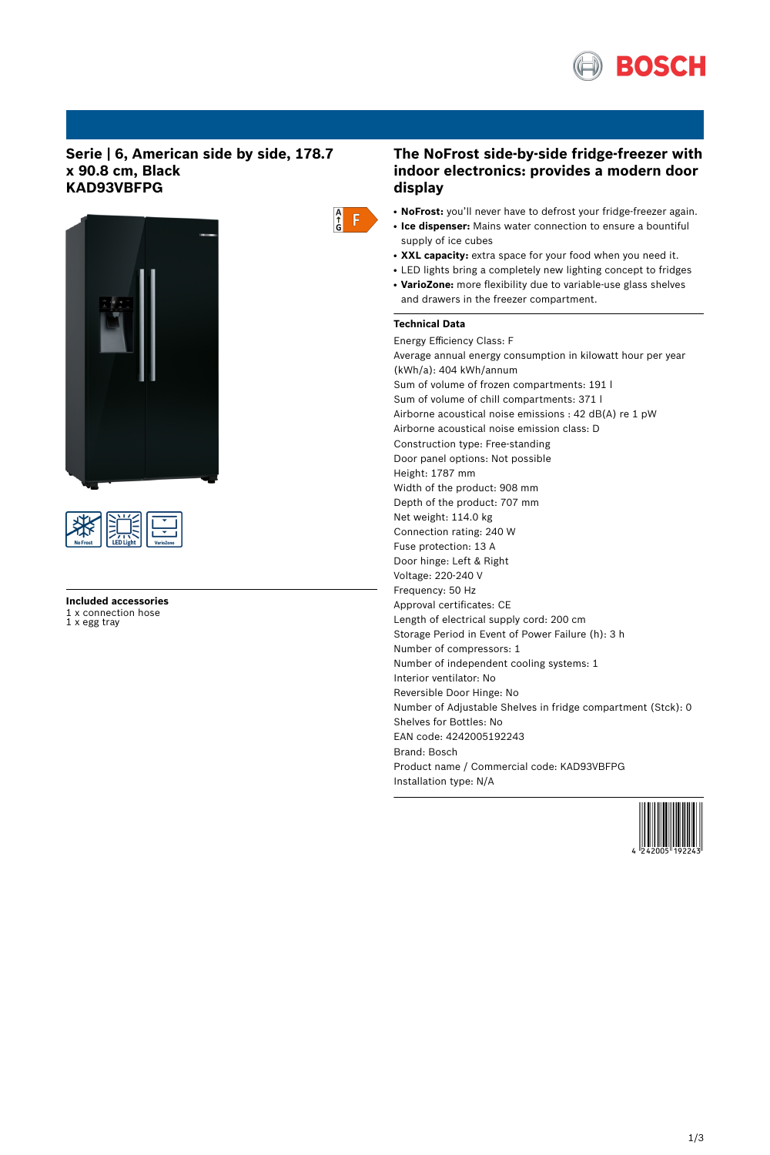

# **Serie | 6, American side by side, 178.7 x 90.8 cm, Black KAD93VBFPG**





**Included accessories** 1 x connection hose 1 x egg tray



# **The NoFrost side-by-side fridge-freezer with indoor electronics: provides a modern door display**

- NoFrost: you'll never have to defrost your fridge-freezer again.
- **Ice dispenser:** Mains water connection to ensure a bountiful supply of ice cubes
- XXL capacity: extra space for your food when you need it.
- LED lights bring a completely new lighting concept to fridges
- VarioZone: more flexibility due to variable-use glass shelves and drawers in the freezer compartment.

# **Technical Data**

Energy Efficiency Class: F Average annual energy consumption in kilowatt hour per year (kWh/a): 404 kWh/annum Sum of volume of frozen compartments: 191 l Sum of volume of chill compartments: 371 l Airborne acoustical noise emissions : 42 dB(A) re 1 pW Airborne acoustical noise emission class: D Construction type: Free-standing Door panel options: Not possible Height: 1787 mm Width of the product: 908 mm Depth of the product: 707 mm Net weight: 114.0 kg Connection rating: 240 W Fuse protection: 13 A Door hinge: Left & Right Voltage: 220-240 V Frequency: 50 Hz Approval certificates: CE Length of electrical supply cord: 200 cm Storage Period in Event of Power Failure (h): 3 h Number of compressors: 1 Number of independent cooling systems: 1 Interior ventilator: No Reversible Door Hinge: No Number of Adjustable Shelves in fridge compartment (Stck): 0 Shelves for Bottles: No EAN code: 4242005192243 Brand: Bosch Product name / Commercial code: KAD93VBFPG Installation type: N/A

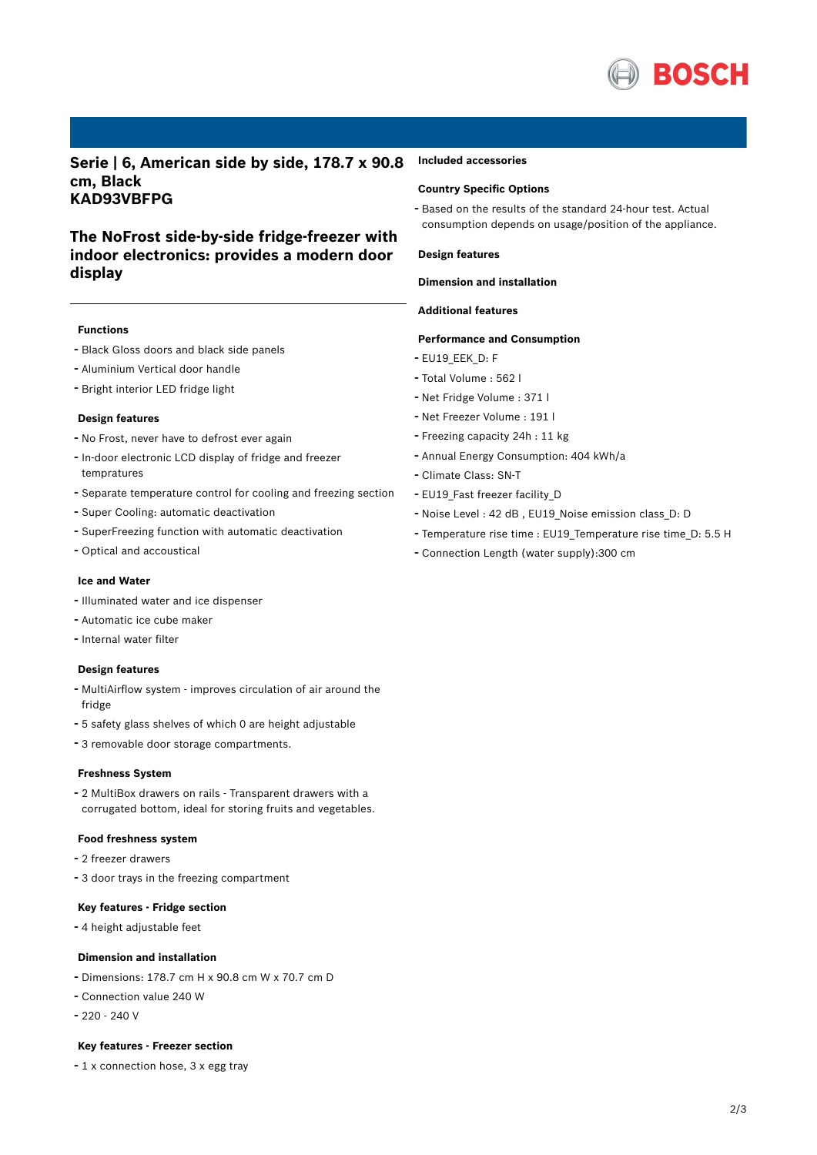

**Serie | 6, American side by side, 178.7 x 90.8 cm, Black KAD93VBFPG**

# **The NoFrost side-by-side fridge-freezer with indoor electronics: provides a modern door display**

### **Functions**

- Black Gloss doors and black side panels
- Aluminium Vertical door handle
- Bright interior LED fridge light

### **Design features**

- No Frost, never have to defrost ever again
- In-door electronic LCD display of fridge and freezer tempratures
- Separate temperature control for cooling and freezing section
- Super Cooling: automatic deactivation
- SuperFreezing function with automatic deactivation
- Optical and accoustical

# **Ice and Water**

- Illuminated water and ice dispenser
- Automatic ice cube maker
- Internal water filter

# **Design features**

- MultiAirflow system improves circulation of air around the fridge
- <sup>5</sup> safety glass shelves of which <sup>0</sup> are height adjustable
- <sup>3</sup> removable door storage compartments.

# **Freshness System**

- <sup>2</sup> MultiBox drawers on rails - Transparent drawers with <sup>a</sup> corrugated bottom, ideal for storing fruits and vegetables.

#### **Food freshness system**

- <sup>2</sup> freezer drawers
- <sup>3</sup> door trays in the freezing compartment

## **Key features - Fridge section**

- <sup>4</sup> height adjustable feet

#### **Dimension and installation**

- Dimensions: 178.7 cm H x 90.8 cm W x 70.7 cm D
- Connection value <sup>240</sup> <sup>W</sup>
- 220 240 V

#### **Key features - Freezer section**

- <sup>1</sup> <sup>x</sup> connection hose, <sup>3</sup> <sup>x</sup> egg tray

## **Included accessories**

## **Country Specific Options**

- Based on the results of the standard 24-hour test. Actual consumption depends on usage/position of the appliance.

#### **Design features**

## **Dimension and installation**

# **Additional features**

# **Performance and Consumption**

- EU19 EEK D: F
- Total Volume : <sup>562</sup> <sup>l</sup>
- Net Fridge Volume : <sup>371</sup> <sup>l</sup>
- Net Freezer Volume : <sup>191</sup> <sup>l</sup>
- Freezing capacity 24h : <sup>11</sup> kg
- Annual Energy Consumption: <sup>404</sup> kWh/a
- Climate Class: SN-T
- EU19\_Fast freezer facility\_D
- Noise Level : <sup>42</sup> dB , EU19\_Noise emission class\_D: <sup>D</sup>
- Temperature rise time : EU19\_Temperature rise time\_D: 5.5 <sup>H</sup>
- Connection Length (water supply):300 cm